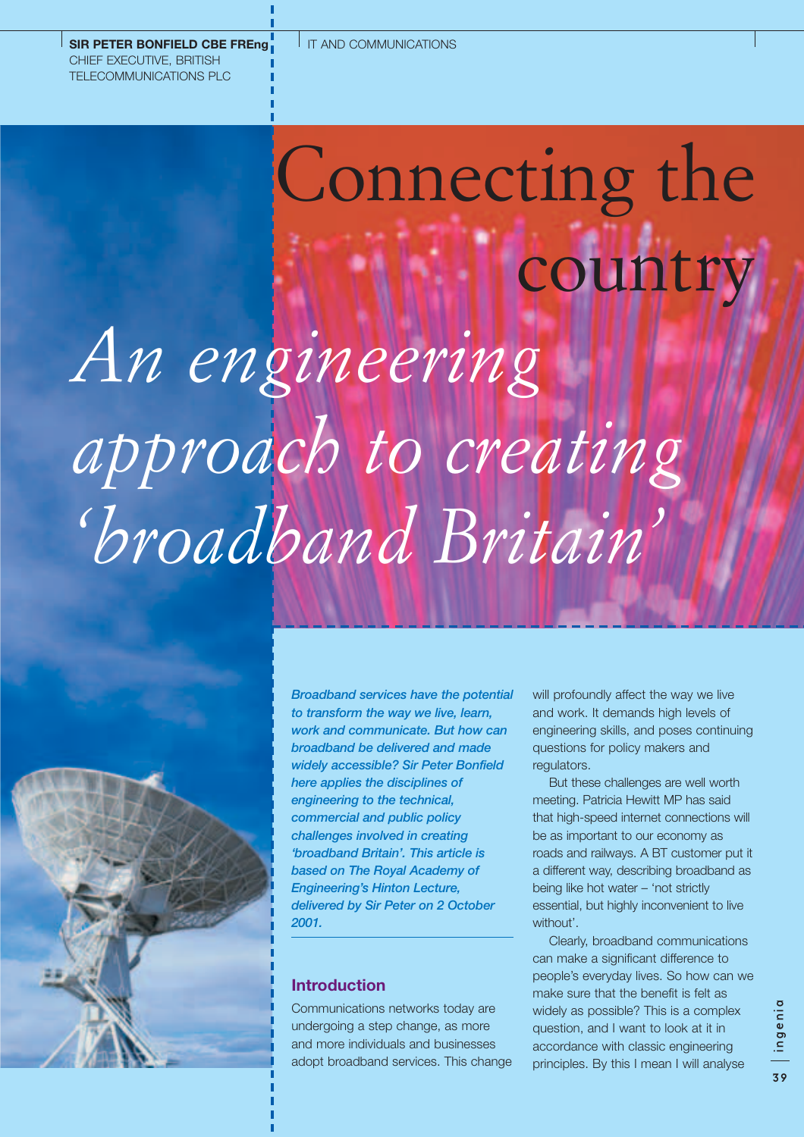# Connecting the country *An engineering approach to creating 'broadband Britain'*



*Broadband services have the potential to transform the way we live, learn, work and communicate. But how can broadband be delivered and made widely accessible? Sir Peter Bonfield here applies the disciplines of engineering to the technical, commercial and public policy challenges involved in creating 'broadband Britain'. This article is based on The Royal Academy of Engineering's Hinton Lecture, delivered by Sir Peter on 2 October 2001.*

# **Introduction**

Communications networks today are undergoing a step change, as more and more individuals and businesses adopt broadband services. This change will profoundly affect the way we live and work. It demands high levels of engineering skills, and poses continuing questions for policy makers and regulators.

But these challenges are well worth meeting. Patricia Hewitt MP has said that high-speed internet connections will be as important to our economy as roads and railways. A BT customer put it a different way, describing broadband as being like hot water – 'not strictly essential, but highly inconvenient to live without'.

Clearly, broadband communications can make a significant difference to people's everyday lives. So how can we make sure that the benefit is felt as widely as possible? This is a complex question, and I want to look at it in accordance with classic engineering principles. By this I mean I will analyse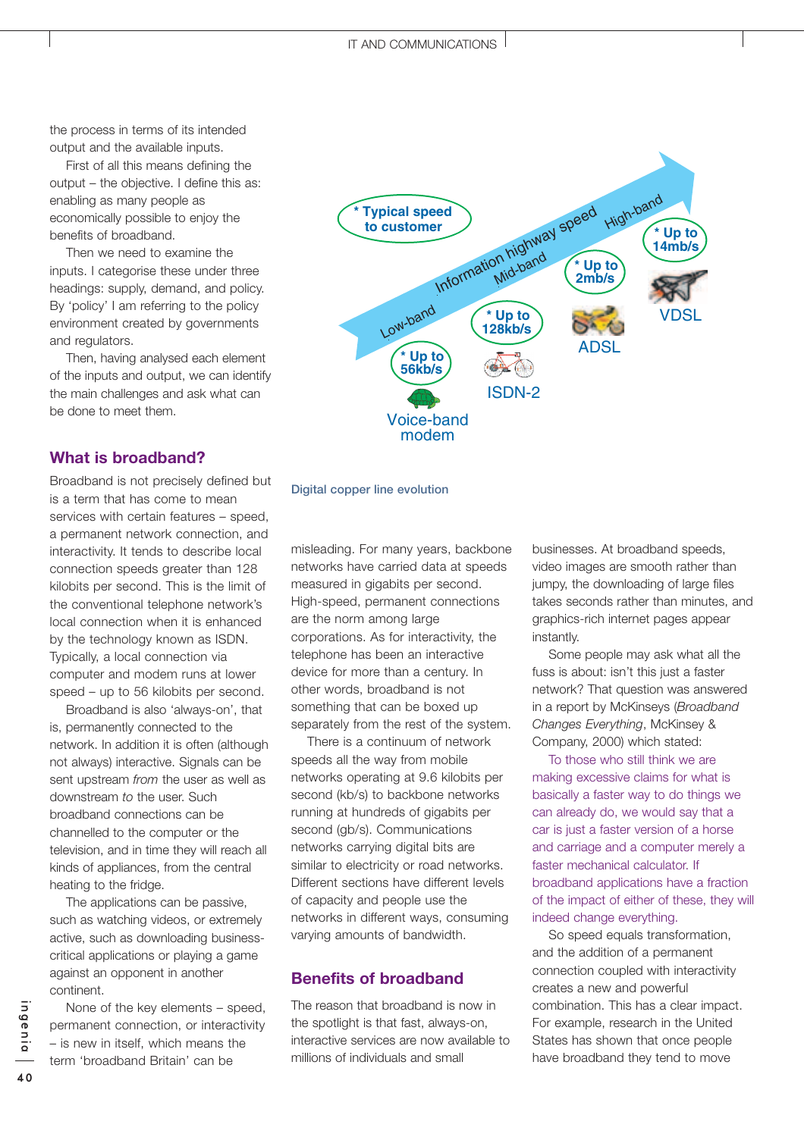the process in terms of its intended output and the available inputs.

First of all this means defining the output – the objective. I define this as: enabling as many people as economically possible to enjoy the benefits of broadband.

Then we need to examine the inputs. I categorise these under three headings: supply, demand, and policy. By 'policy' I am referring to the policy environment created by governments and regulators.

Then, having analysed each element of the inputs and output, we can identify the main challenges and ask what can be done to meet them.

#### **What is broadband?**

Broadband is not precisely defined but is a term that has come to mean services with certain features – speed, a permanent network connection, and interactivity. It tends to describe local connection speeds greater than 128 kilobits per second. This is the limit of the conventional telephone network's local connection when it is enhanced by the technology known as ISDN. Typically, a local connection via computer and modem runs at lower speed – up to 56 kilobits per second.

Broadband is also 'always-on', that is, permanently connected to the network. In addition it is often (although not always) interactive. Signals can be sent upstream *from* the user as well as downstream *to* the user. Such broadband connections can be channelled to the computer or the television, and in time they will reach all kinds of appliances, from the central heating to the fridge.

The applications can be passive, such as watching videos, or extremely active, such as downloading businesscritical applications or playing a game against an opponent in another continent.

None of the key elements – speed, permanent connection, or interactivity – is new in itself, which means the term 'broadband Britain' can be



#### **Digital copper line evolution**

misleading. For many years, backbone networks have carried data at speeds measured in gigabits per second. High-speed, permanent connections are the norm among large corporations. As for interactivity, the telephone has been an interactive device for more than a century. In other words, broadband is not something that can be boxed up separately from the rest of the system.

There is a continuum of network speeds all the way from mobile networks operating at 9.6 kilobits per second (kb/s) to backbone networks running at hundreds of gigabits per second (gb/s). Communications networks carrying digital bits are similar to electricity or road networks. Different sections have different levels of capacity and people use the networks in different ways, consuming varying amounts of bandwidth.

## **Benefits of broadband**

The reason that broadband is now in the spotlight is that fast, always-on, interactive services are now available to millions of individuals and small

businesses. At broadband speeds, video images are smooth rather than jumpy, the downloading of large files takes seconds rather than minutes, and graphics-rich internet pages appear instantly.

Some people may ask what all the fuss is about: isn't this just a faster network? That question was answered in a report by McKinseys (*Broadband Changes Everything*, McKinsey & Company, 2000) which stated:

To those who still think we are making excessive claims for what is basically a faster way to do things we can already do, we would say that a car is just a faster version of a horse and carriage and a computer merely a faster mechanical calculator. If broadband applications have a fraction of the impact of either of these, they will indeed change everything.

So speed equals transformation, and the addition of a permanent connection coupled with interactivity creates a new and powerful combination. This has a clear impact. For example, research in the United States has shown that once people have broadband they tend to move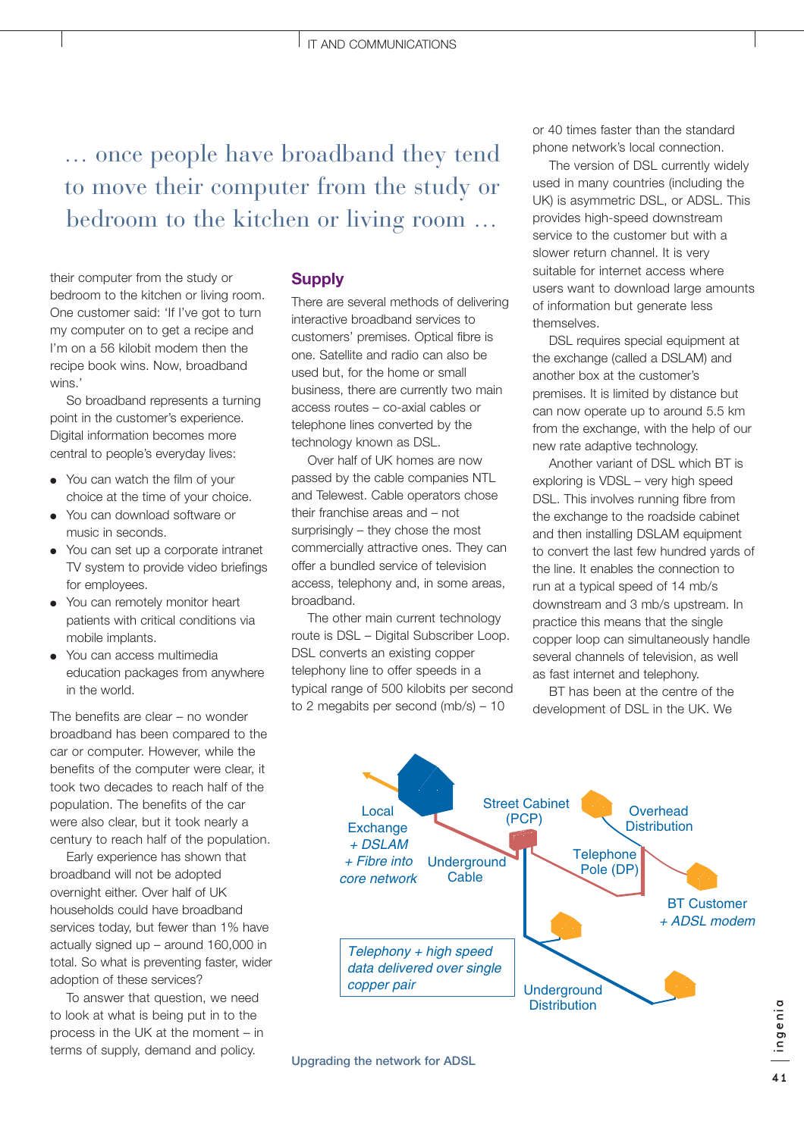… once people have broadband they tend to move their computer from the study or bedroom to the kitchen or living room …

their computer from the study or bedroom to the kitchen or living room. One customer said: 'If I've got to turn my computer on to get a recipe and I'm on a 56 kilobit modem then the recipe book wins. Now, broadband wins.'

So broadband represents a turning point in the customer's experience. Digital information becomes more central to people's everyday lives:

- You can watch the film of your choice at the time of your choice.
- You can download software or music in seconds.
- You can set up a corporate intranet TV system to provide video briefings for employees.
- You can remotely monitor heart patients with critical conditions via mobile implants.
- You can access multimedia education packages from anywhere in the world.

The benefits are clear – no wonder broadband has been compared to the car or computer. However, while the benefits of the computer were clear, it took two decades to reach half of the population. The benefits of the car were also clear, but it took nearly a century to reach half of the population.

Early experience has shown that broadband will not be adopted overnight either. Over half of UK households could have broadband services today, but fewer than 1% have actually signed up – around 160,000 in total. So what is preventing faster, wider adoption of these services?

To answer that question, we need to look at what is being put in to the process in the UK at the moment – in terms of supply, demand and policy.

### **Supply**

There are several methods of delivering interactive broadband services to customers' premises. Optical fibre is one. Satellite and radio can also be used but, for the home or small business, there are currently two main access routes – co-axial cables or telephone lines converted by the technology known as DSL.

Over half of UK homes are now passed by the cable companies NTL and Telewest. Cable operators chose their franchise areas and – not surprisingly – they chose the most commercially attractive ones. They can offer a bundled service of television access, telephony and, in some areas, broadband.

The other main current technology route is DSL – Digital Subscriber Loop. DSL converts an existing copper telephony line to offer speeds in a typical range of 500 kilobits per second to 2 megabits per second (mb/s) – 10

or 40 times faster than the standard phone network's local connection.

The version of DSL currently widely used in many countries (including the UK) is asymmetric DSL, or ADSL. This provides high-speed downstream service to the customer but with a slower return channel. It is very suitable for internet access where users want to download large amounts of information but generate less themselves.

DSL requires special equipment at the exchange (called a DSLAM) and another box at the customer's premises. It is limited by distance but can now operate up to around 5.5 km from the exchange, with the help of our new rate adaptive technology.

Another variant of DSL which BT is exploring is VDSL – very high speed DSL. This involves running fibre from the exchange to the roadside cabinet and then installing DSLAM equipment to convert the last few hundred yards of the line. It enables the connection to run at a typical speed of 14 mb/s downstream and 3 mb/s upstream. In practice this means that the single copper loop can simultaneously handle several channels of television, as well as fast internet and telephony.

BT has been at the centre of the development of DSL in the UK. We



**Upgrading the network for ADSL**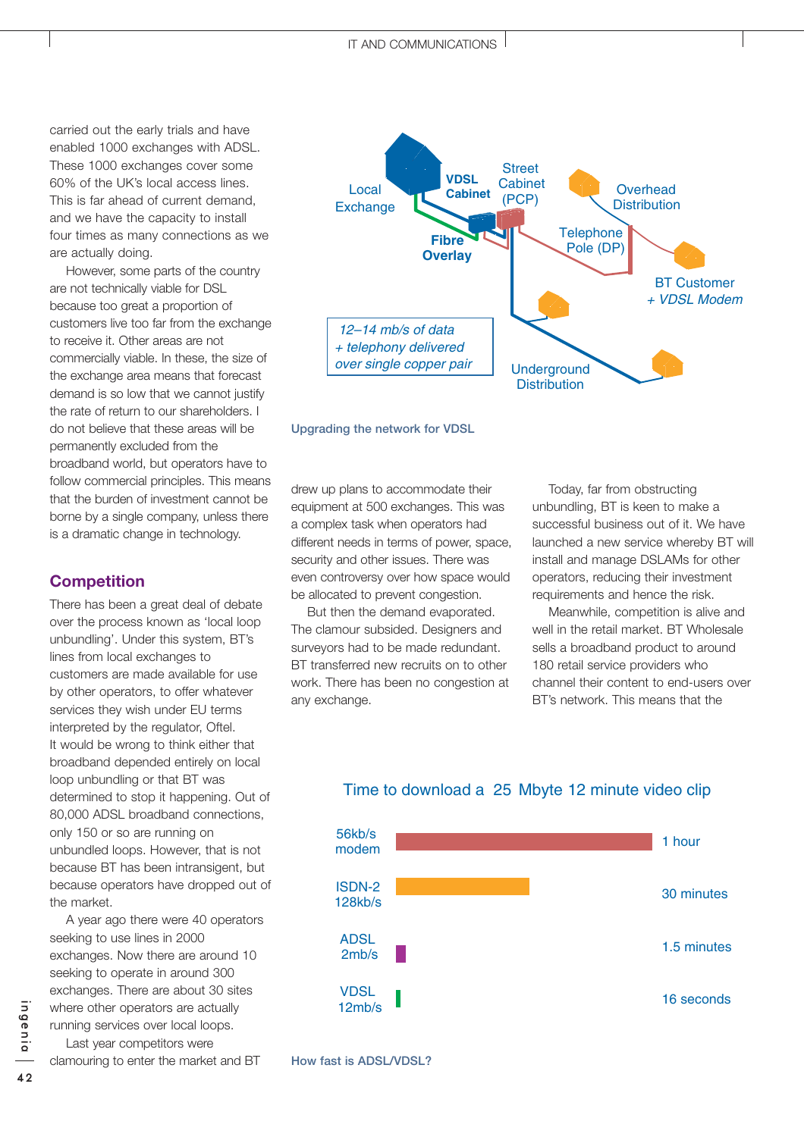carried out the early trials and have enabled 1000 exchanges with ADSL. These 1000 exchanges cover some 60% of the UK's local access lines. This is far ahead of current demand, and we have the capacity to install four times as many connections as we are actually doing.

However, some parts of the country are not technically viable for DSL because too great a proportion of customers live too far from the exchange to receive it. Other areas are not commercially viable. In these, the size of the exchange area means that forecast demand is so low that we cannot justify the rate of return to our shareholders. I do not believe that these areas will be permanently excluded from the broadband world, but operators have to follow commercial principles. This means that the burden of investment cannot be borne by a single company, unless there is a dramatic change in technology.

### **Competition**

There has been a great deal of debate over the process known as 'local loop unbundling'. Under this system, BT's lines from local exchanges to customers are made available for use by other operators, to offer whatever services they wish under EU terms interpreted by the regulator, Oftel. It would be wrong to think either that broadband depended entirely on local loop unbundling or that BT was determined to stop it happening. Out of 80,000 ADSL broadband connections, only 150 or so are running on unbundled loops. However, that is not because BT has been intransigent, but because operators have dropped out of the market.

A year ago there were 40 operators seeking to use lines in 2000 exchanges. Now there are around 10 seeking to operate in around 300 exchanges. There are about 30 sites where other operators are actually running services over local loops. Last year competitors were

clamouring to enter the market and BT



#### **Upgrading the network for VDSL**

drew up plans to accommodate their equipment at 500 exchanges. This was a complex task when operators had different needs in terms of power, space, security and other issues. There was even controversy over how space would be allocated to prevent congestion.

But then the demand evaporated. The clamour subsided. Designers and surveyors had to be made redundant. BT transferred new recruits on to other work. There has been no congestion at any exchange.

Today, far from obstructing unbundling, BT is keen to make a successful business out of it. We have launched a new service whereby BT will install and manage DSLAMs for other operators, reducing their investment requirements and hence the risk.

Meanwhile, competition is alive and well in the retail market. BT Wholesale sells a broadband product to around 180 retail service providers who channel their content to end-users over BT's network. This means that the



## Time to download a 25 Mbyte 12 minute video clip

**How fast is ADSL/VDSL?**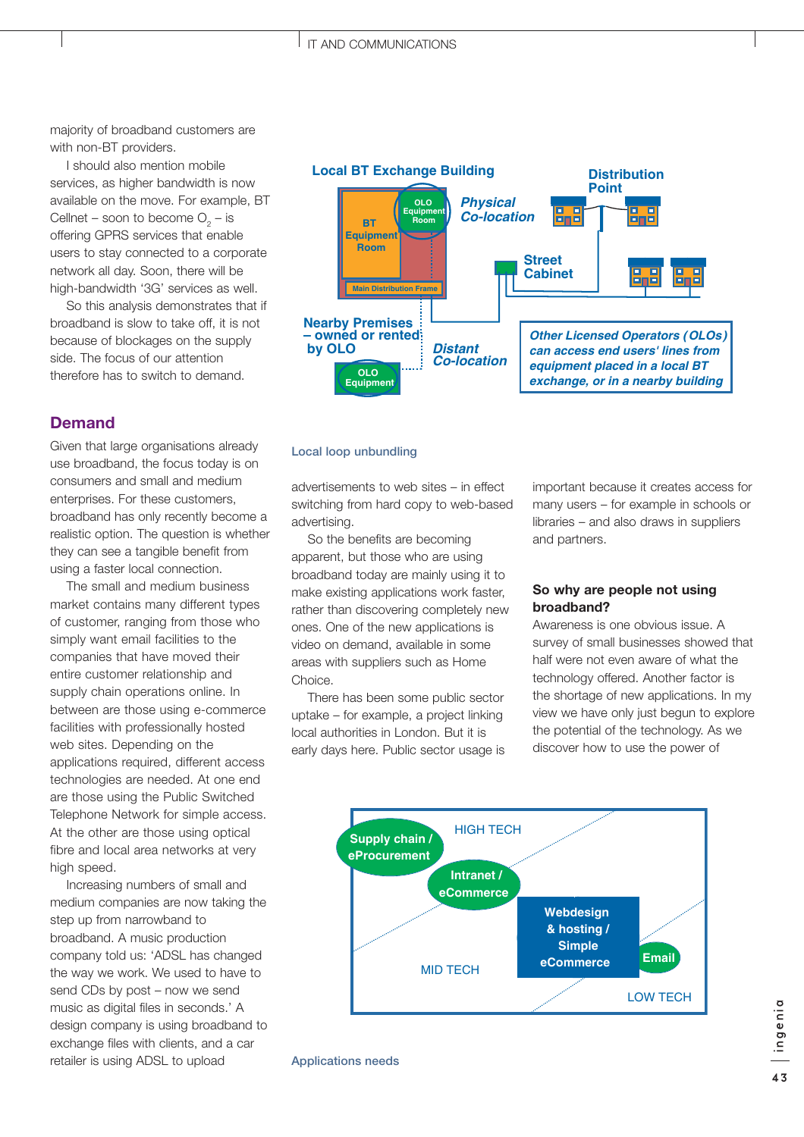majority of broadband customers are with non-BT providers.

I should also mention mobile services, as higher bandwidth is now available on the move. For example, BT Cellnet – soon to become  $O<sub>2</sub>$  – is offering GPRS services that enable users to stay connected to a corporate network all day. Soon, there will be high-bandwidth '3G' services as well.

So this analysis demonstrates that if broadband is slow to take off, it is not because of blockages on the supply side. The focus of our attention therefore has to switch to demand.

## **Demand**

Given that large organisations already use broadband, the focus today is on consumers and small and medium enterprises. For these customers, broadband has only recently become a realistic option. The question is whether they can see a tangible benefit from using a faster local connection.

The small and medium business market contains many different types of customer, ranging from those who simply want email facilities to the companies that have moved their entire customer relationship and supply chain operations online. In between are those using e-commerce facilities with professionally hosted web sites. Depending on the applications required, different access technologies are needed. At one end are those using the Public Switched Telephone Network for simple access. At the other are those using optical fibre and local area networks at very high speed.

Increasing numbers of small and medium companies are now taking the step up from narrowband to broadband. A music production company told us: 'ADSL has changed the way we work. We used to have to send CDs by post – now we send music as digital files in seconds.' A design company is using broadband to exchange files with clients, and a car retailer is using ADSL to upload



#### **Local loop unbundling**

advertisements to web sites – in effect switching from hard copy to web-based advertising.

So the benefits are becoming apparent, but those who are using broadband today are mainly using it to make existing applications work faster, rather than discovering completely new ones. One of the new applications is video on demand, available in some areas with suppliers such as Home Choice.

There has been some public sector uptake – for example, a project linking local authorities in London. But it is early days here. Public sector usage is important because it creates access for many users – for example in schools or libraries – and also draws in suppliers and partners.

### **So why are people not using broadband?**

Awareness is one obvious issue. A survey of small businesses showed that half were not even aware of what the technology offered. Another factor is the shortage of new applications. In my view we have only just begun to explore the potential of the technology. As we discover how to use the power of



**Applications needs**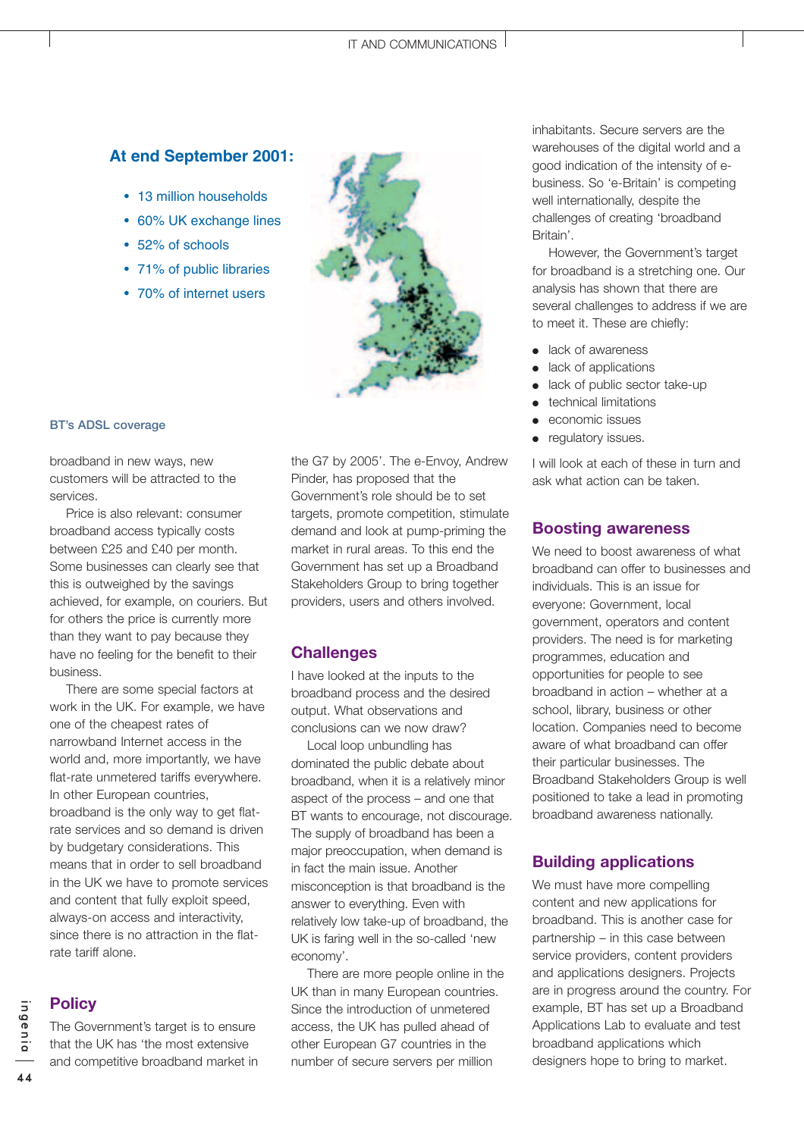## **At end September 2001:**

- 13 million households
- 60% UK exchange lines
- 52% of schools
- 71% of public libraries
- 70% of internet users



#### **BT's ADSL coverage**

broadband in new ways, new customers will be attracted to the services.

Price is also relevant: consumer broadband access typically costs between £25 and £40 per month. Some businesses can clearly see that this is outweighed by the savings achieved, for example, on couriers. But for others the price is currently more than they want to pay because they have no feeling for the benefit to their business.

There are some special factors at work in the UK. For example, we have one of the cheapest rates of narrowband Internet access in the world and, more importantly, we have flat-rate unmetered tariffs everywhere. In other European countries, broadband is the only way to get flatrate services and so demand is driven by budgetary considerations. This means that in order to sell broadband in the UK we have to promote services and content that fully exploit speed, always-on access and interactivity, since there is no attraction in the flatrate tariff alone.

## **Policy**

The Government's target is to ensure that the UK has 'the most extensive and competitive broadband market in

the G7 by 2005'. The e-Envoy, Andrew Pinder, has proposed that the Government's role should be to set targets, promote competition, stimulate demand and look at pump-priming the market in rural areas. To this end the Government has set up a Broadband Stakeholders Group to bring together providers, users and others involved.

### **Challenges**

I have looked at the inputs to the broadband process and the desired output. What observations and conclusions can we now draw?

Local loop unbundling has dominated the public debate about broadband, when it is a relatively minor aspect of the process – and one that BT wants to encourage, not discourage. The supply of broadband has been a major preoccupation, when demand is in fact the main issue. Another misconception is that broadband is the answer to everything. Even with relatively low take-up of broadband, the UK is faring well in the so-called 'new economy'.

There are more people online in the UK than in many European countries. Since the introduction of unmetered access, the UK has pulled ahead of other European G7 countries in the number of secure servers per million

inhabitants. Secure servers are the warehouses of the digital world and a good indication of the intensity of ebusiness. So 'e-Britain' is competing well internationally, despite the challenges of creating 'broadband Britain'.

However, the Government's target for broadband is a stretching one. Our analysis has shown that there are several challenges to address if we are to meet it. These are chiefly:

- lack of awareness
- lack of applications
- lack of public sector take-up
- technical limitations
- economic issues
- regulatory issues.

I will look at each of these in turn and ask what action can be taken.

### **Boosting awareness**

We need to boost awareness of what broadband can offer to businesses and individuals. This is an issue for everyone: Government, local government, operators and content providers. The need is for marketing programmes, education and opportunities for people to see broadband in action – whether at a school, library, business or other location. Companies need to become aware of what broadband can offer their particular businesses. The Broadband Stakeholders Group is well positioned to take a lead in promoting broadband awareness nationally.

## **Building applications**

We must have more compelling content and new applications for broadband. This is another case for partnership – in this case between service providers, content providers and applications designers. Projects are in progress around the country. For example, BT has set up a Broadband Applications Lab to evaluate and test broadband applications which designers hope to bring to market.